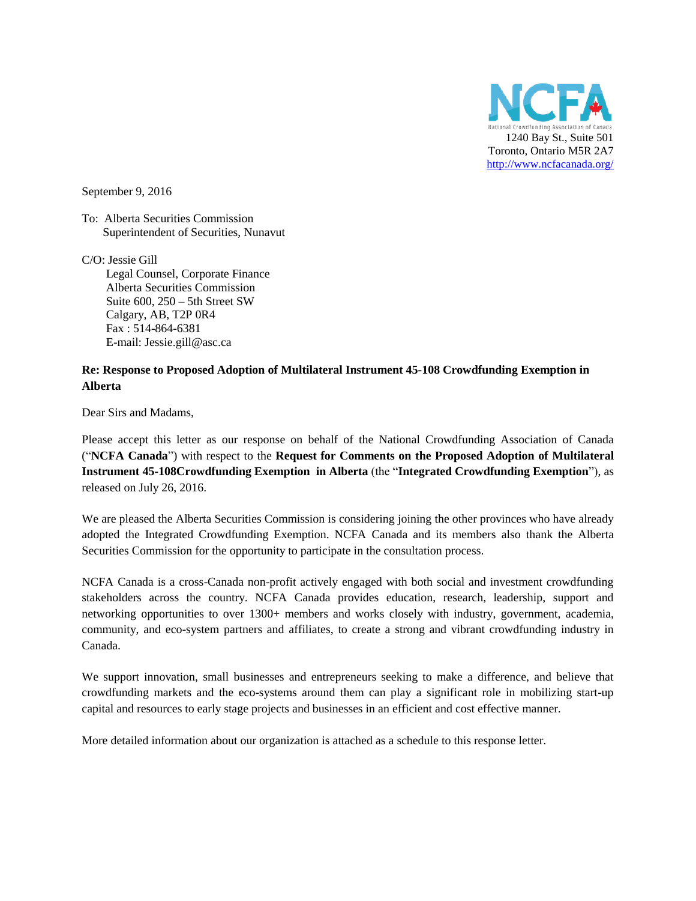

September 9, 2016

To: Alberta Securities Commission Superintendent of Securities, Nunavut

C/O: Jessie Gill Legal Counsel, Corporate Finance Alberta Securities Commission Suite 600, 250 – 5th Street SW Calgary, AB, T2P 0R4 Fax : 514-864-6381 E-mail: Jessie.gill@asc.ca

# **Re: Response to Proposed Adoption of Multilateral Instrument 45-108 Crowdfunding Exemption in Alberta**

Dear Sirs and Madams,

Please accept this letter as our response on behalf of the National Crowdfunding Association of Canada ("**NCFA Canada**") with respect to the **Request for Comments on the Proposed Adoption of Multilateral Instrument 45-108Crowdfunding Exemption in Alberta** (the "**Integrated Crowdfunding Exemption**"), as released on July 26, 2016.

We are pleased the Alberta Securities Commission is considering joining the other provinces who have already adopted the Integrated Crowdfunding Exemption. NCFA Canada and its members also thank the Alberta Securities Commission for the opportunity to participate in the consultation process.

NCFA Canada is a cross-Canada non-profit actively engaged with both social and investment crowdfunding stakeholders across the country. NCFA Canada provides education, research, leadership, support and networking opportunities to over 1300+ members and works closely with industry, government, academia, community, and eco-system partners and affiliates, to create a strong and vibrant crowdfunding industry in Canada.

We support innovation, small businesses and entrepreneurs seeking to make a difference, and believe that crowdfunding markets and the eco-systems around them can play a significant role in mobilizing start-up capital and resources to early stage projects and businesses in an efficient and cost effective manner.

More detailed information about our organization is attached as a schedule to this response letter.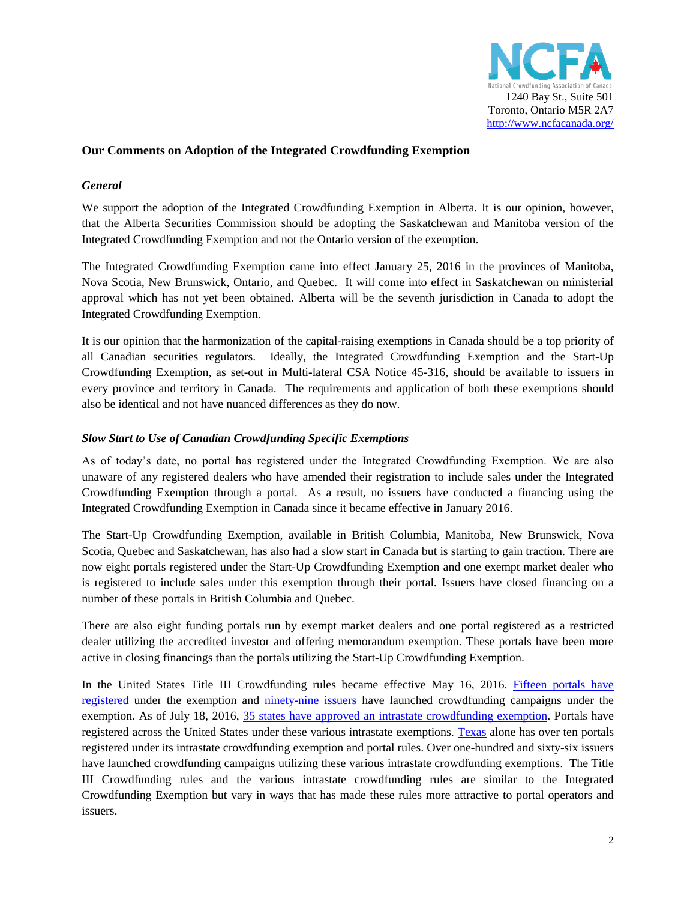

# **Our Comments on Adoption of the Integrated Crowdfunding Exemption**

### *General*

We support the adoption of the Integrated Crowdfunding Exemption in Alberta. It is our opinion, however, that the Alberta Securities Commission should be adopting the Saskatchewan and Manitoba version of the Integrated Crowdfunding Exemption and not the Ontario version of the exemption.

The Integrated Crowdfunding Exemption came into effect January 25, 2016 in the provinces of Manitoba, Nova Scotia, New Brunswick, Ontario, and Quebec. It will come into effect in Saskatchewan on ministerial approval which has not yet been obtained. Alberta will be the seventh jurisdiction in Canada to adopt the Integrated Crowdfunding Exemption.

It is our opinion that the harmonization of the capital-raising exemptions in Canada should be a top priority of all Canadian securities regulators. Ideally, the Integrated Crowdfunding Exemption and the Start-Up Crowdfunding Exemption, as set-out in Multi-lateral CSA Notice 45-316, should be available to issuers in every province and territory in Canada. The requirements and application of both these exemptions should also be identical and not have nuanced differences as they do now.

#### *Slow Start to Use of Canadian Crowdfunding Specific Exemptions*

As of today's date, no portal has registered under the Integrated Crowdfunding Exemption. We are also unaware of any registered dealers who have amended their registration to include sales under the Integrated Crowdfunding Exemption through a portal. As a result, no issuers have conducted a financing using the Integrated Crowdfunding Exemption in Canada since it became effective in January 2016.

The Start-Up Crowdfunding Exemption, available in British Columbia, Manitoba, New Brunswick, Nova Scotia, Quebec and Saskatchewan, has also had a slow start in Canada but is starting to gain traction. There are now eight portals registered under the Start-Up Crowdfunding Exemption and one exempt market dealer who is registered to include sales under this exemption through their portal. Issuers have closed financing on a number of these portals in British Columbia and Quebec.

There are also eight funding portals run by exempt market dealers and one portal registered as a restricted dealer utilizing the accredited investor and offering memorandum exemption. These portals have been more active in closing financings than the portals utilizing the Start-Up Crowdfunding Exemption.

In the United States Title III Crowdfunding rules became effective May 16, 2016. [Fifteen portals have](http://www.finra.org/about/funding-portals-we-regulate)  [registered](http://www.finra.org/about/funding-portals-we-regulate) under the exemption and [ninety-nine issuers](https://searchwww.sec.gov/EDGARFSClient/jsp/EDGAR_MainAccess.jsp?search_text=*&sort=Date&startDoc=101&numResults=10&isAdv=true&formType=FormC&fromDate=mm/dd/yyyy&toDate=mm/dd/yyyy&stemming=true) have launched crowdfunding campaigns under the exemption. As of July 18, 2016, [35 states have approved an intrastate crowdfunding exemption.](http://nasaa.cdn.s3.amazonaws.com/wp-content/uploads/2014/12/Intrastate-Crowdfunding-Slides-7-18-16.pdf) Portals have registered across the United States under these various intrastate exemptions. [Texas](https://www.ssb.texas.gov/texas-securities-act-board-rules/texas-intrastate-crowdfunding/registered-crowdfunding-portals) alone has over ten portals registered under its intrastate crowdfunding exemption and portal rules. Over one-hundred and sixty-six issuers have launched crowdfunding campaigns utilizing these various intrastate crowdfunding exemptions. The Title III Crowdfunding rules and the various intrastate crowdfunding rules are similar to the Integrated Crowdfunding Exemption but vary in ways that has made these rules more attractive to portal operators and issuers.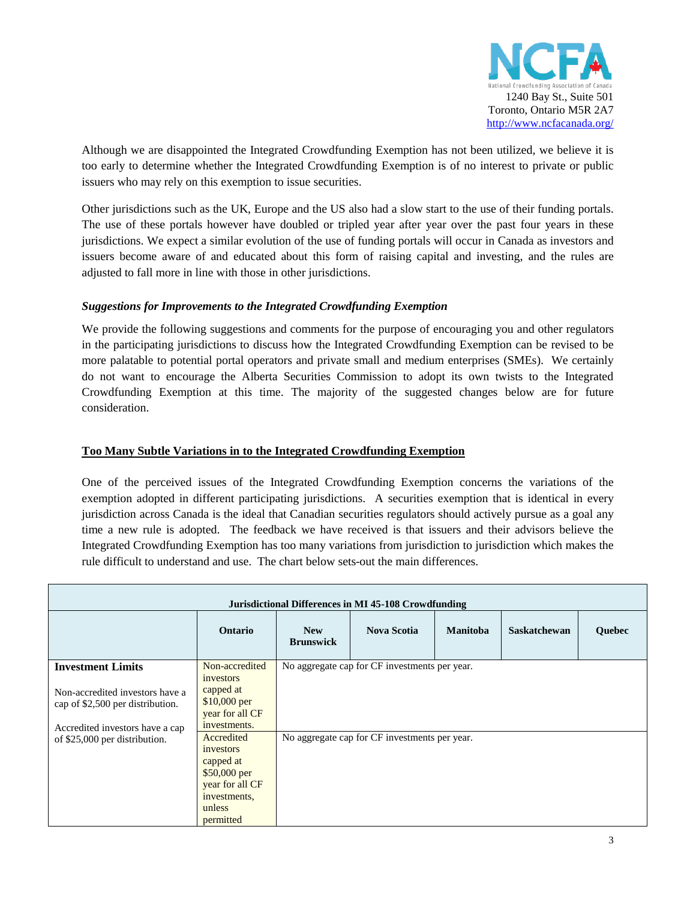

Although we are disappointed the Integrated Crowdfunding Exemption has not been utilized, we believe it is too early to determine whether the Integrated Crowdfunding Exemption is of no interest to private or public issuers who may rely on this exemption to issue securities.

Other jurisdictions such as the UK, Europe and the US also had a slow start to the use of their funding portals. The use of these portals however have doubled or tripled year after year over the past four years in these jurisdictions. We expect a similar evolution of the use of funding portals will occur in Canada as investors and issuers become aware of and educated about this form of raising capital and investing, and the rules are adjusted to fall more in line with those in other jurisdictions.

# *Suggestions for Improvements to the Integrated Crowdfunding Exemption*

We provide the following suggestions and comments for the purpose of encouraging you and other regulators in the participating jurisdictions to discuss how the Integrated Crowdfunding Exemption can be revised to be more palatable to potential portal operators and private small and medium enterprises (SMEs). We certainly do not want to encourage the Alberta Securities Commission to adopt its own twists to the Integrated Crowdfunding Exemption at this time. The majority of the suggested changes below are for future consideration.

# **Too Many Subtle Variations in to the Integrated Crowdfunding Exemption**

One of the perceived issues of the Integrated Crowdfunding Exemption concerns the variations of the exemption adopted in different participating jurisdictions. A securities exemption that is identical in every jurisdiction across Canada is the ideal that Canadian securities regulators should actively pursue as a goal any time a new rule is adopted. The feedback we have received is that issuers and their advisors believe the Integrated Crowdfunding Exemption has too many variations from jurisdiction to jurisdiction which makes the rule difficult to understand and use. The chart below sets-out the main differences.

| Jurisdictional Differences in MI 45-108 Crowdfunding                                            |                                                                                                                                |                                               |                                               |                 |                     |        |
|-------------------------------------------------------------------------------------------------|--------------------------------------------------------------------------------------------------------------------------------|-----------------------------------------------|-----------------------------------------------|-----------------|---------------------|--------|
|                                                                                                 | <b>Ontario</b>                                                                                                                 | <b>New</b><br><b>Brunswick</b>                | <b>Nova Scotia</b>                            | <b>Manitoba</b> | <b>Saskatchewan</b> | Quebec |
| <b>Investment Limits</b><br>Non-accredited investors have a<br>cap of \$2,500 per distribution. | Non-accredited<br>investors<br>capped at<br>\$10,000 per<br>year for all CF                                                    | No aggregate cap for CF investments per year. |                                               |                 |                     |        |
| Accredited investors have a cap<br>of \$25,000 per distribution.                                | investments.<br>Accredited<br>investors<br>capped at<br>\$50,000 per<br>year for all CF<br>investments,<br>unless<br>permitted |                                               | No aggregate cap for CF investments per year. |                 |                     |        |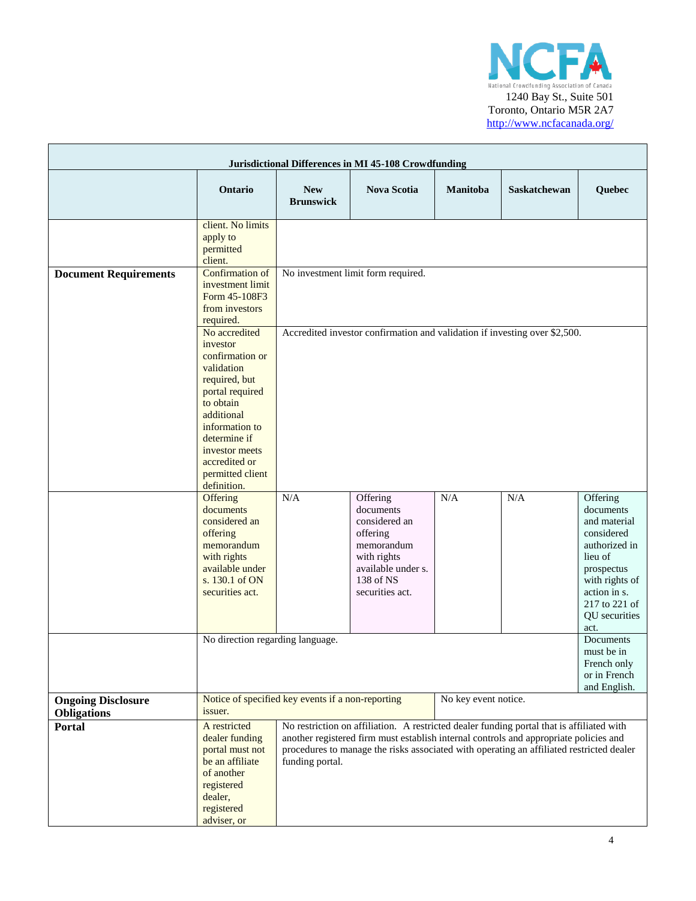

| <b>Jurisdictional Differences in MI 45-108 Crowdfunding</b> |                                                                                                                                                                                                                                   |                                                                                                                                                                                                                                                                                                                                                                                |                                                                                                                                       |          |                     |                                                                                                                                                                           |
|-------------------------------------------------------------|-----------------------------------------------------------------------------------------------------------------------------------------------------------------------------------------------------------------------------------|--------------------------------------------------------------------------------------------------------------------------------------------------------------------------------------------------------------------------------------------------------------------------------------------------------------------------------------------------------------------------------|---------------------------------------------------------------------------------------------------------------------------------------|----------|---------------------|---------------------------------------------------------------------------------------------------------------------------------------------------------------------------|
|                                                             | <b>Ontario</b>                                                                                                                                                                                                                    | <b>New</b><br><b>Brunswick</b>                                                                                                                                                                                                                                                                                                                                                 | <b>Nova Scotia</b>                                                                                                                    | Manitoba | <b>Saskatchewan</b> | Quebec                                                                                                                                                                    |
|                                                             | client. No limits<br>apply to<br>permitted<br>client.                                                                                                                                                                             |                                                                                                                                                                                                                                                                                                                                                                                |                                                                                                                                       |          |                     |                                                                                                                                                                           |
| <b>Document Requirements</b>                                | Confirmation of<br>investment limit<br>Form 45-108F3<br>from investors<br>required.                                                                                                                                               | No investment limit form required.                                                                                                                                                                                                                                                                                                                                             |                                                                                                                                       |          |                     |                                                                                                                                                                           |
|                                                             | No accredited<br>investor<br>confirmation or<br>validation<br>required, but<br>portal required<br>to obtain<br>additional<br>information to<br>determine if<br>investor meets<br>accredited or<br>permitted client<br>definition. | Accredited investor confirmation and validation if investing over \$2,500.                                                                                                                                                                                                                                                                                                     |                                                                                                                                       |          |                     |                                                                                                                                                                           |
|                                                             | Offering<br>documents<br>considered an<br>offering<br>memorandum<br>with rights<br>available under<br>s. 130.1 of ON<br>securities act.                                                                                           | N/A                                                                                                                                                                                                                                                                                                                                                                            | Offering<br>documents<br>considered an<br>offering<br>memorandum<br>with rights<br>available under s.<br>138 of NS<br>securities act. | N/A      | N/A                 | Offering<br>documents<br>and material<br>considered<br>authorized in<br>lieu of<br>prospectus<br>with rights of<br>action in s.<br>217 to 221 of<br>QU securities<br>act. |
|                                                             | No direction regarding language.                                                                                                                                                                                                  | Documents<br>must be in<br>French only<br>or in French<br>and English.                                                                                                                                                                                                                                                                                                         |                                                                                                                                       |          |                     |                                                                                                                                                                           |
| <b>Ongoing Disclosure</b><br><b>Obligations</b>             | issuer.                                                                                                                                                                                                                           | Notice of specified key events if a non-reporting<br>No key event notice.<br>No restriction on affiliation. A restricted dealer funding portal that is affiliated with<br>another registered firm must establish internal controls and appropriate policies and<br>procedures to manage the risks associated with operating an affiliated restricted dealer<br>funding portal. |                                                                                                                                       |          |                     |                                                                                                                                                                           |
| Portal                                                      | A restricted<br>dealer funding<br>portal must not<br>be an affiliate<br>of another<br>registered<br>dealer,<br>registered<br>adviser, or                                                                                          |                                                                                                                                                                                                                                                                                                                                                                                |                                                                                                                                       |          |                     |                                                                                                                                                                           |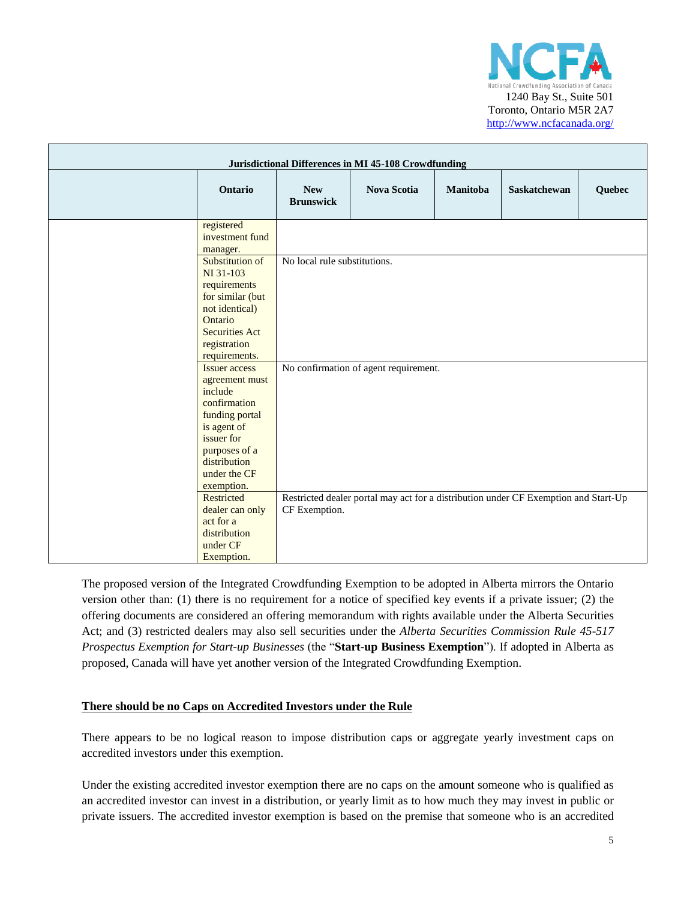

| <b>Jurisdictional Differences in MI 45-108 Crowdfunding</b> |                                                        |                                |                                                                                     |          |                     |        |
|-------------------------------------------------------------|--------------------------------------------------------|--------------------------------|-------------------------------------------------------------------------------------|----------|---------------------|--------|
|                                                             | Ontario                                                | <b>New</b><br><b>Brunswick</b> | <b>Nova Scotia</b>                                                                  | Manitoba | <b>Saskatchewan</b> | Quebec |
|                                                             | registered<br>investment fund<br>manager.              |                                |                                                                                     |          |                     |        |
|                                                             | Substitution of<br>NI 31-103<br>requirements           | No local rule substitutions.   |                                                                                     |          |                     |        |
|                                                             | for similar (but<br>not identical)<br>Ontario          |                                |                                                                                     |          |                     |        |
|                                                             | <b>Securities Act</b><br>registration<br>requirements. |                                |                                                                                     |          |                     |        |
|                                                             | <b>Issuer access</b>                                   |                                | No confirmation of agent requirement.                                               |          |                     |        |
|                                                             | agreement must<br>include<br>confirmation              |                                |                                                                                     |          |                     |        |
|                                                             | funding portal<br>is agent of<br>issuer for            |                                |                                                                                     |          |                     |        |
|                                                             | purposes of a<br>distribution                          |                                |                                                                                     |          |                     |        |
|                                                             | under the CF<br>exemption.                             |                                |                                                                                     |          |                     |        |
|                                                             | Restricted<br>dealer can only                          | CF Exemption.                  | Restricted dealer portal may act for a distribution under CF Exemption and Start-Up |          |                     |        |
|                                                             | act for a<br>distribution                              |                                |                                                                                     |          |                     |        |
|                                                             | under CF<br>Exemption.                                 |                                |                                                                                     |          |                     |        |

The proposed version of the Integrated Crowdfunding Exemption to be adopted in Alberta mirrors the Ontario version other than: (1) there is no requirement for a notice of specified key events if a private issuer; (2) the offering documents are considered an offering memorandum with rights available under the Alberta Securities Act; and (3) restricted dealers may also sell securities under the *Alberta Securities Commission Rule 45-517 Prospectus Exemption for Start-up Businesses* (the "**Start-up Business Exemption**"). If adopted in Alberta as proposed, Canada will have yet another version of the Integrated Crowdfunding Exemption.

### **There should be no Caps on Accredited Investors under the Rule**

There appears to be no logical reason to impose distribution caps or aggregate yearly investment caps on accredited investors under this exemption.

Under the existing accredited investor exemption there are no caps on the amount someone who is qualified as an accredited investor can invest in a distribution, or yearly limit as to how much they may invest in public or private issuers. The accredited investor exemption is based on the premise that someone who is an accredited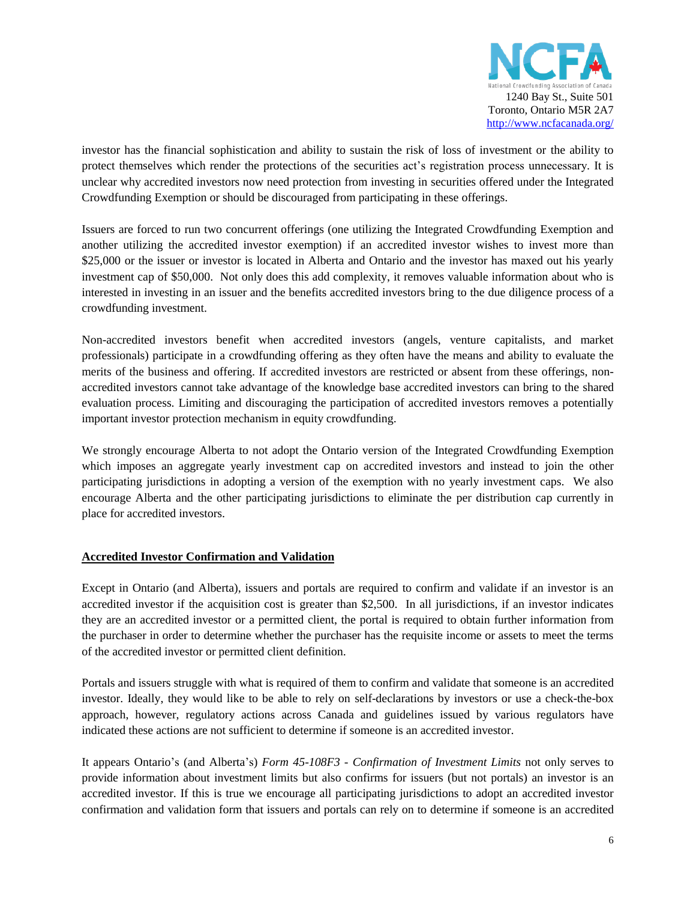

investor has the financial sophistication and ability to sustain the risk of loss of investment or the ability to protect themselves which render the protections of the securities act's registration process unnecessary. It is unclear why accredited investors now need protection from investing in securities offered under the Integrated Crowdfunding Exemption or should be discouraged from participating in these offerings.

Issuers are forced to run two concurrent offerings (one utilizing the Integrated Crowdfunding Exemption and another utilizing the accredited investor exemption) if an accredited investor wishes to invest more than \$25,000 or the issuer or investor is located in Alberta and Ontario and the investor has maxed out his yearly investment cap of \$50,000. Not only does this add complexity, it removes valuable information about who is interested in investing in an issuer and the benefits accredited investors bring to the due diligence process of a crowdfunding investment.

Non-accredited investors benefit when accredited investors (angels, venture capitalists, and market professionals) participate in a crowdfunding offering as they often have the means and ability to evaluate the merits of the business and offering. If accredited investors are restricted or absent from these offerings, nonaccredited investors cannot take advantage of the knowledge base accredited investors can bring to the shared evaluation process. Limiting and discouraging the participation of accredited investors removes a potentially important investor protection mechanism in equity crowdfunding.

We strongly encourage Alberta to not adopt the Ontario version of the Integrated Crowdfunding Exemption which imposes an aggregate yearly investment cap on accredited investors and instead to join the other participating jurisdictions in adopting a version of the exemption with no yearly investment caps. We also encourage Alberta and the other participating jurisdictions to eliminate the per distribution cap currently in place for accredited investors.

# **Accredited Investor Confirmation and Validation**

Except in Ontario (and Alberta), issuers and portals are required to confirm and validate if an investor is an accredited investor if the acquisition cost is greater than \$2,500. In all jurisdictions, if an investor indicates they are an accredited investor or a permitted client, the portal is required to obtain further information from the purchaser in order to determine whether the purchaser has the requisite income or assets to meet the terms of the accredited investor or permitted client definition.

Portals and issuers struggle with what is required of them to confirm and validate that someone is an accredited investor. Ideally, they would like to be able to rely on self-declarations by investors or use a check-the-box approach, however, regulatory actions across Canada and guidelines issued by various regulators have indicated these actions are not sufficient to determine if someone is an accredited investor.

It appears Ontario's (and Alberta's) *Form 45-108F3 - Confirmation of Investment Limits* not only serves to provide information about investment limits but also confirms for issuers (but not portals) an investor is an accredited investor. If this is true we encourage all participating jurisdictions to adopt an accredited investor confirmation and validation form that issuers and portals can rely on to determine if someone is an accredited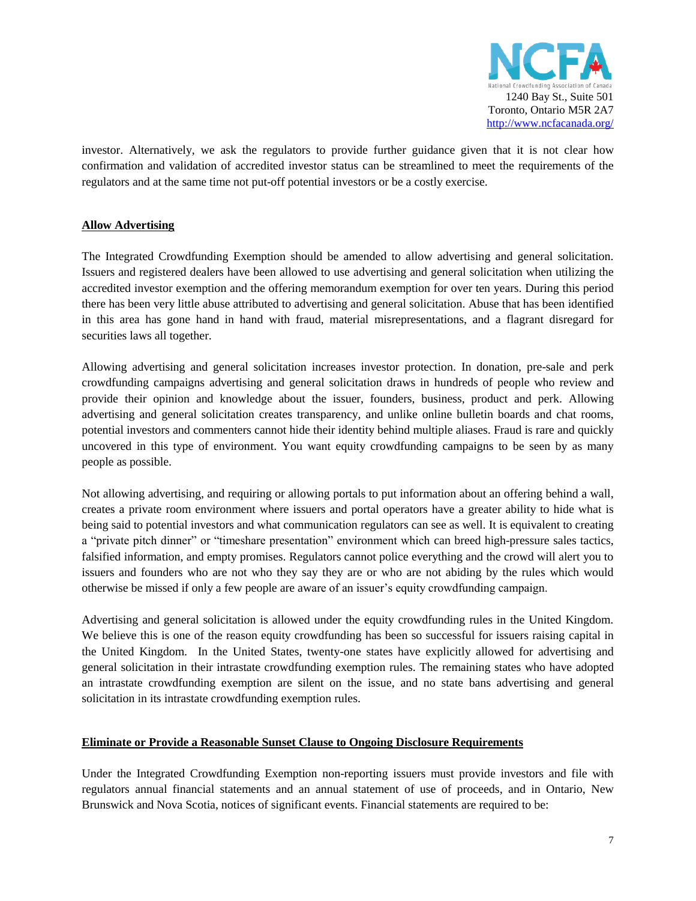

investor. Alternatively, we ask the regulators to provide further guidance given that it is not clear how confirmation and validation of accredited investor status can be streamlined to meet the requirements of the regulators and at the same time not put-off potential investors or be a costly exercise.

# **Allow Advertising**

The Integrated Crowdfunding Exemption should be amended to allow advertising and general solicitation. Issuers and registered dealers have been allowed to use advertising and general solicitation when utilizing the accredited investor exemption and the offering memorandum exemption for over ten years. During this period there has been very little abuse attributed to advertising and general solicitation. Abuse that has been identified in this area has gone hand in hand with fraud, material misrepresentations, and a flagrant disregard for securities laws all together.

Allowing advertising and general solicitation increases investor protection. In donation, pre-sale and perk crowdfunding campaigns advertising and general solicitation draws in hundreds of people who review and provide their opinion and knowledge about the issuer, founders, business, product and perk. Allowing advertising and general solicitation creates transparency, and unlike online bulletin boards and chat rooms, potential investors and commenters cannot hide their identity behind multiple aliases. Fraud is rare and quickly uncovered in this type of environment. You want equity crowdfunding campaigns to be seen by as many people as possible.

Not allowing advertising, and requiring or allowing portals to put information about an offering behind a wall, creates a private room environment where issuers and portal operators have a greater ability to hide what is being said to potential investors and what communication regulators can see as well. It is equivalent to creating a "private pitch dinner" or "timeshare presentation" environment which can breed high-pressure sales tactics, falsified information, and empty promises. Regulators cannot police everything and the crowd will alert you to issuers and founders who are not who they say they are or who are not abiding by the rules which would otherwise be missed if only a few people are aware of an issuer's equity crowdfunding campaign.

Advertising and general solicitation is allowed under the equity crowdfunding rules in the United Kingdom. We believe this is one of the reason equity crowdfunding has been so successful for issuers raising capital in the United Kingdom. In the United States, twenty-one states have explicitly allowed for advertising and general solicitation in their intrastate crowdfunding exemption rules. The remaining states who have adopted an intrastate crowdfunding exemption are silent on the issue, and no state bans advertising and general solicitation in its intrastate crowdfunding exemption rules.

# **Eliminate or Provide a Reasonable Sunset Clause to Ongoing Disclosure Requirements**

Under the Integrated Crowdfunding Exemption non-reporting issuers must provide investors and file with regulators annual financial statements and an annual statement of use of proceeds, and in Ontario, New Brunswick and Nova Scotia, notices of significant events. Financial statements are required to be: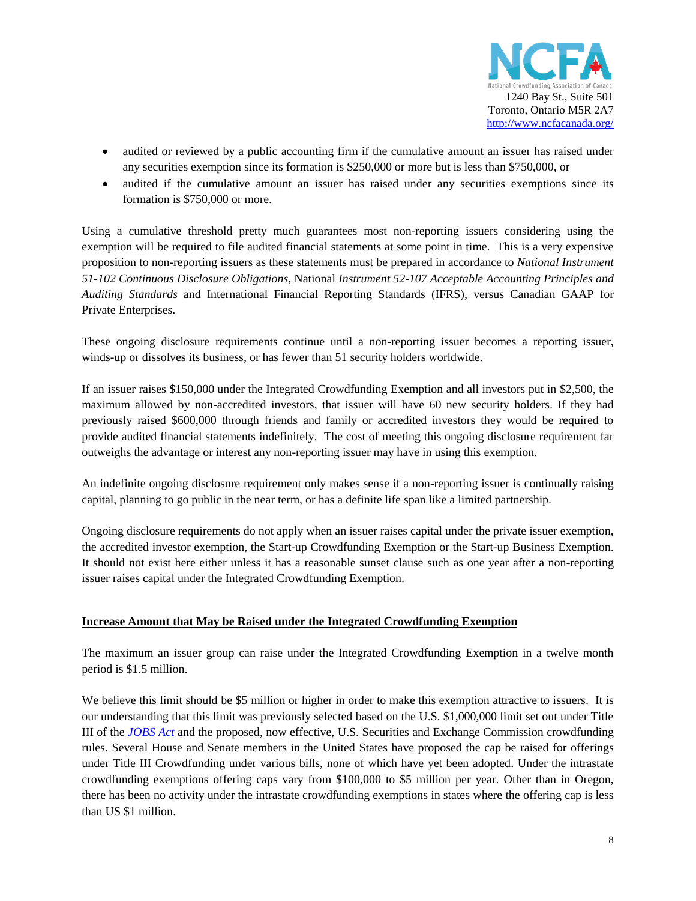

- audited or reviewed by a public accounting firm if the cumulative amount an issuer has raised under any securities exemption since its formation is \$250,000 or more but is less than \$750,000, or
- audited if the cumulative amount an issuer has raised under any securities exemptions since its formation is \$750,000 or more.

Using a cumulative threshold pretty much guarantees most non-reporting issuers considering using the exemption will be required to file audited financial statements at some point in time. This is a very expensive proposition to non-reporting issuers as these statements must be prepared in accordance to *National Instrument 51-102 Continuous Disclosure Obligations*, National *Instrument 52-107 Acceptable Accounting Principles and Auditing Standards* and International Financial Reporting Standards (IFRS), versus Canadian GAAP for Private Enterprises.

These ongoing disclosure requirements continue until a non-reporting issuer becomes a reporting issuer, winds-up or dissolves its business, or has fewer than 51 security holders worldwide.

If an issuer raises \$150,000 under the Integrated Crowdfunding Exemption and all investors put in \$2,500, the maximum allowed by non-accredited investors, that issuer will have 60 new security holders. If they had previously raised \$600,000 through friends and family or accredited investors they would be required to provide audited financial statements indefinitely. The cost of meeting this ongoing disclosure requirement far outweighs the advantage or interest any non-reporting issuer may have in using this exemption.

An indefinite ongoing disclosure requirement only makes sense if a non-reporting issuer is continually raising capital, planning to go public in the near term, or has a definite life span like a limited partnership.

Ongoing disclosure requirements do not apply when an issuer raises capital under the private issuer exemption, the accredited investor exemption, the Start-up Crowdfunding Exemption or the Start-up Business Exemption. It should not exist here either unless it has a reasonable sunset clause such as one year after a non-reporting issuer raises capital under the Integrated Crowdfunding Exemption.

# **Increase Amount that May be Raised under the Integrated Crowdfunding Exemption**

The maximum an issuer group can raise under the Integrated Crowdfunding Exemption in a twelve month period is \$1.5 million.

We believe this limit should be \$5 million or higher in order to make this exemption attractive to issuers. It is our understanding that this limit was previously selected based on the U.S. \$1,000,000 limit set out under Title III of the *[JOBS Act](https://www.govtrack.us/congress/bills/112/hr3606/text)* and the proposed, now effective, U.S. Securities and Exchange Commission crowdfunding rules. Several House and Senate members in the United States have proposed the cap be raised for offerings under Title III Crowdfunding under various bills, none of which have yet been adopted. Under the intrastate crowdfunding exemptions offering caps vary from \$100,000 to \$5 million per year. Other than in Oregon, there has been no activity under the intrastate crowdfunding exemptions in states where the offering cap is less than US \$1 million.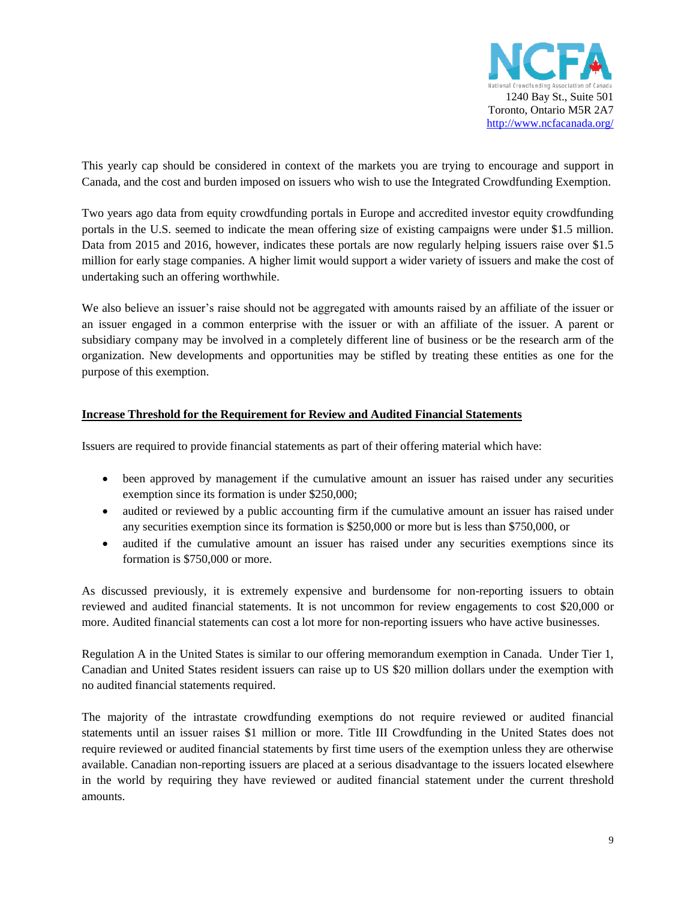

This yearly cap should be considered in context of the markets you are trying to encourage and support in Canada, and the cost and burden imposed on issuers who wish to use the Integrated Crowdfunding Exemption.

Two years ago data from equity crowdfunding portals in Europe and accredited investor equity crowdfunding portals in the U.S. seemed to indicate the mean offering size of existing campaigns were under \$1.5 million. Data from 2015 and 2016, however, indicates these portals are now regularly helping issuers raise over \$1.5 million for early stage companies. A higher limit would support a wider variety of issuers and make the cost of undertaking such an offering worthwhile.

We also believe an issuer's raise should not be aggregated with amounts raised by an affiliate of the issuer or an issuer engaged in a common enterprise with the issuer or with an affiliate of the issuer. A parent or subsidiary company may be involved in a completely different line of business or be the research arm of the organization. New developments and opportunities may be stifled by treating these entities as one for the purpose of this exemption.

#### **Increase Threshold for the Requirement for Review and Audited Financial Statements**

Issuers are required to provide financial statements as part of their offering material which have:

- been approved by management if the cumulative amount an issuer has raised under any securities exemption since its formation is under \$250,000;
- audited or reviewed by a public accounting firm if the cumulative amount an issuer has raised under any securities exemption since its formation is \$250,000 or more but is less than \$750,000, or
- audited if the cumulative amount an issuer has raised under any securities exemptions since its formation is \$750,000 or more.

As discussed previously, it is extremely expensive and burdensome for non-reporting issuers to obtain reviewed and audited financial statements. It is not uncommon for review engagements to cost \$20,000 or more. Audited financial statements can cost a lot more for non-reporting issuers who have active businesses.

Regulation A in the United States is similar to our offering memorandum exemption in Canada. Under Tier 1, Canadian and United States resident issuers can raise up to US \$20 million dollars under the exemption with no audited financial statements required.

The majority of the intrastate crowdfunding exemptions do not require reviewed or audited financial statements until an issuer raises \$1 million or more. Title III Crowdfunding in the United States does not require reviewed or audited financial statements by first time users of the exemption unless they are otherwise available. Canadian non-reporting issuers are placed at a serious disadvantage to the issuers located elsewhere in the world by requiring they have reviewed or audited financial statement under the current threshold amounts.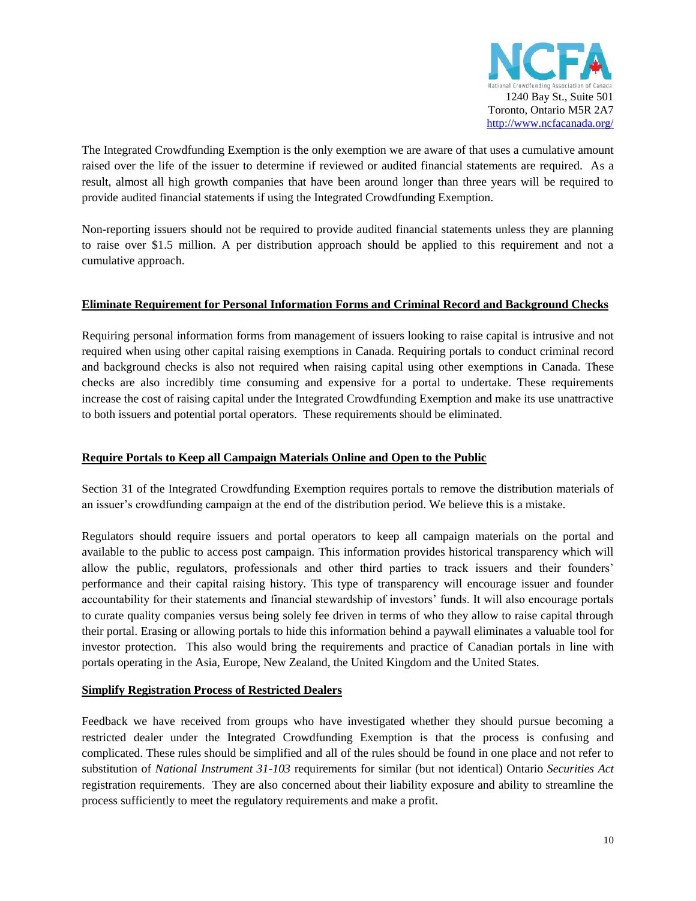

The Integrated Crowdfunding Exemption is the only exemption we are aware of that uses a cumulative amount raised over the life of the issuer to determine if reviewed or audited financial statements are required. As a result, almost all high growth companies that have been around longer than three years will be required to provide audited financial statements if using the Integrated Crowdfunding Exemption.

Non-reporting issuers should not be required to provide audited financial statements unless they are planning to raise over \$1.5 million. A per distribution approach should be applied to this requirement and not a cumulative approach.

# **Eliminate Requirement for Personal Information Forms and Criminal Record and Background Checks**

Requiring personal information forms from management of issuers looking to raise capital is intrusive and not required when using other capital raising exemptions in Canada. Requiring portals to conduct criminal record and background checks is also not required when raising capital using other exemptions in Canada. These checks are also incredibly time consuming and expensive for a portal to undertake. These requirements increase the cost of raising capital under the Integrated Crowdfunding Exemption and make its use unattractive to both issuers and potential portal operators. These requirements should be eliminated.

# **Require Portals to Keep all Campaign Materials Online and Open to the Public**

Section 31 of the Integrated Crowdfunding Exemption requires portals to remove the distribution materials of an issuer's crowdfunding campaign at the end of the distribution period. We believe this is a mistake.

Regulators should require issuers and portal operators to keep all campaign materials on the portal and available to the public to access post campaign. This information provides historical transparency which will allow the public, regulators, professionals and other third parties to track issuers and their founders' performance and their capital raising history. This type of transparency will encourage issuer and founder accountability for their statements and financial stewardship of investors' funds. It will also encourage portals to curate quality companies versus being solely fee driven in terms of who they allow to raise capital through their portal. Erasing or allowing portals to hide this information behind a paywall eliminates a valuable tool for investor protection. This also would bring the requirements and practice of Canadian portals in line with portals operating in the Asia, Europe, New Zealand, the United Kingdom and the United States.

# **Simplify Registration Process of Restricted Dealers**

Feedback we have received from groups who have investigated whether they should pursue becoming a restricted dealer under the Integrated Crowdfunding Exemption is that the process is confusing and complicated. These rules should be simplified and all of the rules should be found in one place and not refer to substitution of *National Instrument 31-103* requirements for similar (but not identical) Ontario *Securities Act* registration requirements. They are also concerned about their liability exposure and ability to streamline the process sufficiently to meet the regulatory requirements and make a profit.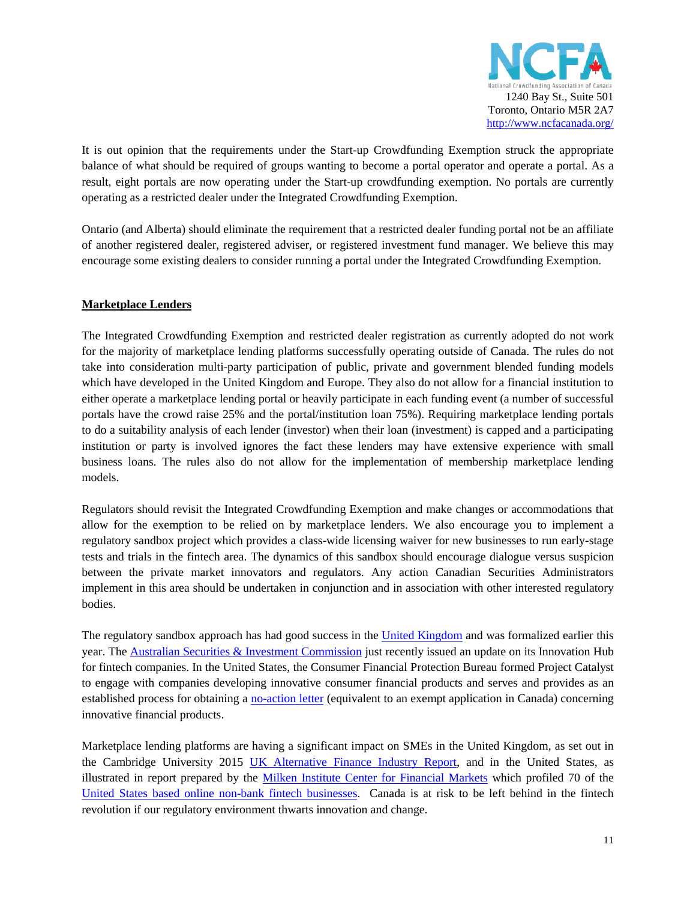

It is out opinion that the requirements under the Start-up Crowdfunding Exemption struck the appropriate balance of what should be required of groups wanting to become a portal operator and operate a portal. As a result, eight portals are now operating under the Start-up crowdfunding exemption. No portals are currently operating as a restricted dealer under the Integrated Crowdfunding Exemption.

Ontario (and Alberta) should eliminate the requirement that a restricted dealer funding portal not be an affiliate of another registered dealer, registered adviser, or registered investment fund manager. We believe this may encourage some existing dealers to consider running a portal under the Integrated Crowdfunding Exemption.

# **Marketplace Lenders**

The Integrated Crowdfunding Exemption and restricted dealer registration as currently adopted do not work for the majority of marketplace lending platforms successfully operating outside of Canada. The rules do not take into consideration multi-party participation of public, private and government blended funding models which have developed in the United Kingdom and Europe. They also do not allow for a financial institution to either operate a marketplace lending portal or heavily participate in each funding event (a number of successful portals have the crowd raise 25% and the portal/institution loan 75%). Requiring marketplace lending portals to do a suitability analysis of each lender (investor) when their loan (investment) is capped and a participating institution or party is involved ignores the fact these lenders may have extensive experience with small business loans. The rules also do not allow for the implementation of membership marketplace lending models.

Regulators should revisit the Integrated Crowdfunding Exemption and make changes or accommodations that allow for the exemption to be relied on by marketplace lenders. We also encourage you to implement a regulatory sandbox project which provides a class-wide licensing waiver for new businesses to run early-stage tests and trials in the fintech area. The dynamics of this sandbox should encourage dialogue versus suspicion between the private market innovators and regulators. Any action Canadian Securities Administrators implement in this area should be undertaken in conjunction and in association with other interested regulatory bodies.

The regulatory sandbox approach has had good success in the [United Kingdom](https://www.fca.org.uk/firms/fintech-and-innovative-businesses) and was formalized earlier this year. The **Australian Securities & Investment Commission** just recently issued an update on its Innovation Hub for fintech companies. In the United States, the Consumer Financial Protection Bureau formed Project Catalyst to engage with companies developing innovative consumer financial products and serves and provides as an established process for obtaining a [no-action letter](http://files.consumerfinance.gov/f/201602_cfpb_no-action-letter-policy.pdf) (equivalent to an exempt application in Canada) concerning innovative financial products.

Marketplace lending platforms are having a significant impact on SMEs in the United Kingdom, as set out in the Cambridge University 2015 [UK Alternative Finance Industry Report,](https://www.nesta.org.uk/sites/default/files/pushing_boundaries_0.pdf) and in the United States, as illustrated in report prepared by the [Milken Institute Center for Financial Markets](http://assets1c.milkeninstitute.org/assets/Publication/Viewpoint/PDF/Online-Nonbank-Finance-Landscape2.pdf) which profiled 70 of the United States based [online non-bank fintech businesses.](http://www.milkeninstitute.org/assets/PDF/Online-Non-Bank-Finance-Landscape.pdf) Canada is at risk to be left behind in the fintech revolution if our regulatory environment thwarts innovation and change.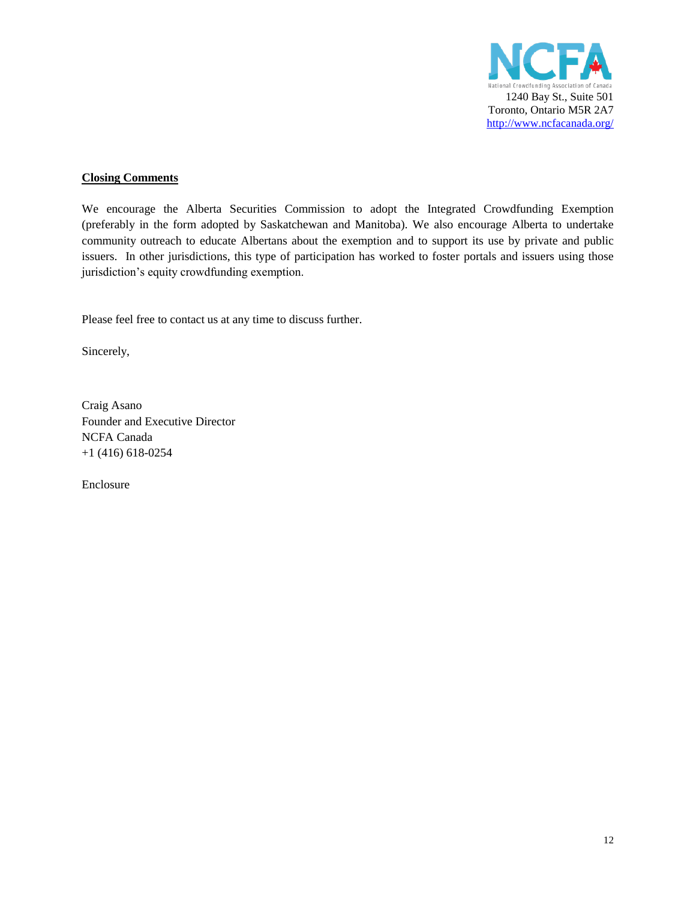

# **Closing Comments**

We encourage the Alberta Securities Commission to adopt the Integrated Crowdfunding Exemption (preferably in the form adopted by Saskatchewan and Manitoba). We also encourage Alberta to undertake community outreach to educate Albertans about the exemption and to support its use by private and public issuers. In other jurisdictions, this type of participation has worked to foster portals and issuers using those jurisdiction's equity crowdfunding exemption.

Please feel free to contact us at any time to discuss further.

Sincerely,

Craig Asano Founder and Executive Director NCFA Canada +1 (416) 618-0254

Enclosure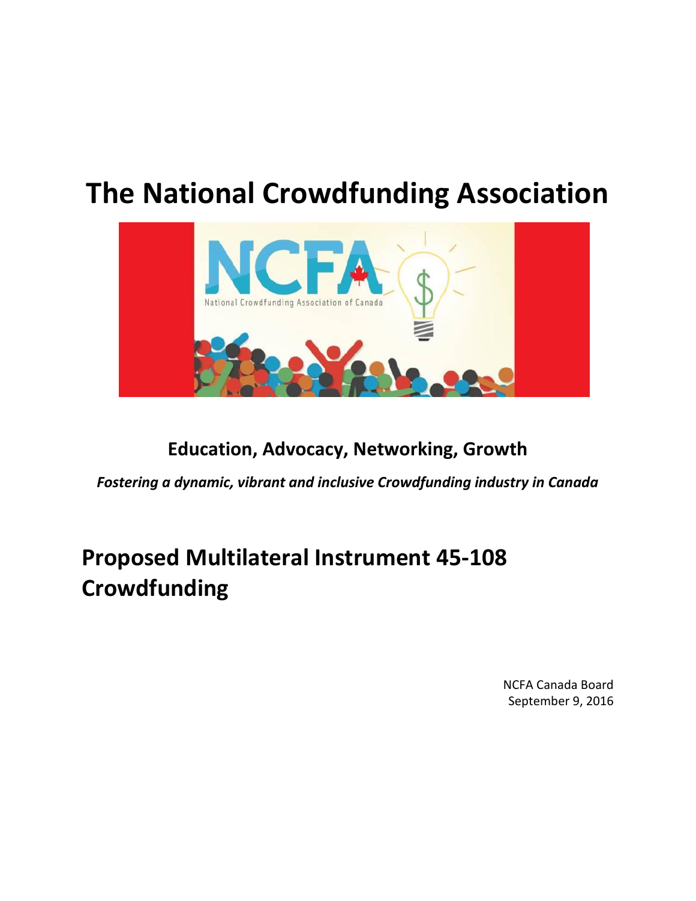# **The National Crowdfunding Association**



# **Education, Advocacy, Networking, Growth**

*Fostering a dynamic, vibrant and inclusive Crowdfunding industry in Canada*

# **Proposed Multilateral Instrument 45-108 Crowdfunding**

NCFA Canada Board September 9, 2016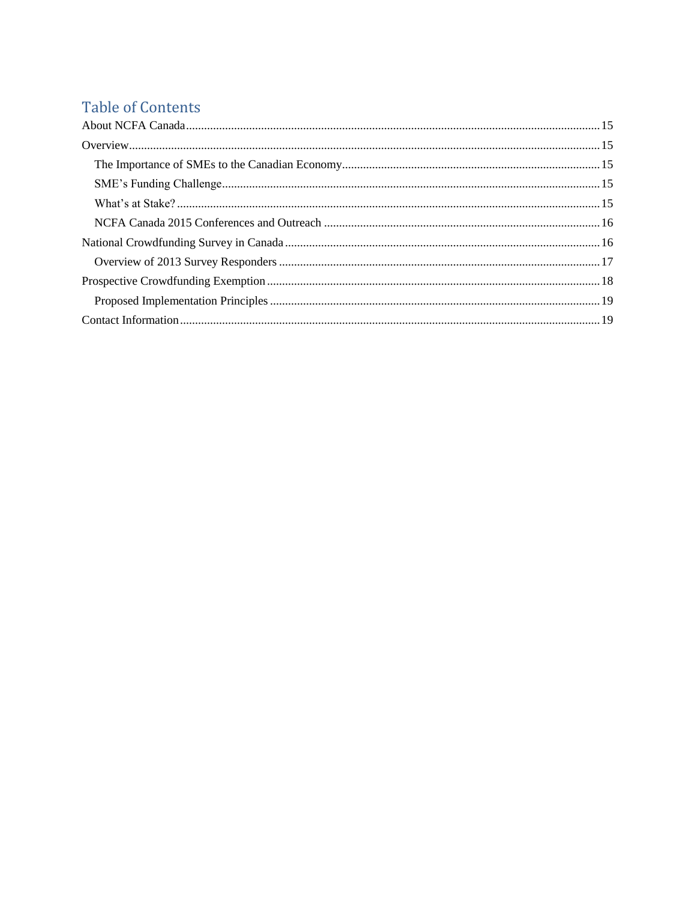# **Table of Contents**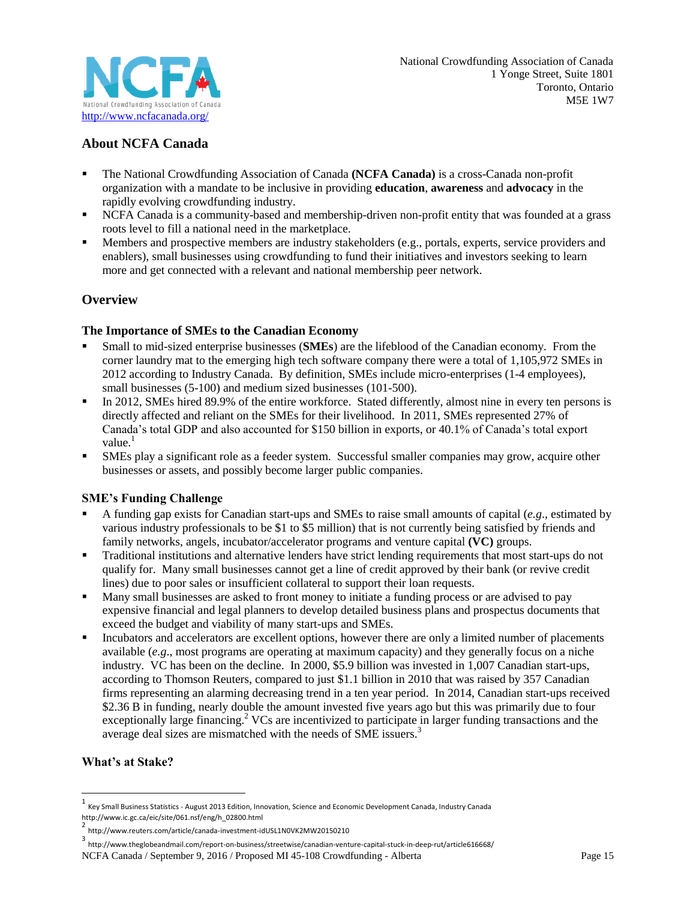

# <span id="page-14-0"></span>**About NCFA Canada**

- The National Crowdfunding Association of Canada **(NCFA Canada)** is a cross-Canada non-profit organization with a mandate to be inclusive in providing **education**, **awareness** and **advocacy** in the rapidly evolving crowdfunding industry.
- NCFA Canada is a community-based and membership-driven non-profit entity that was founded at a grass roots level to fill a national need in the marketplace.
- **Members and prospective members are industry stakeholders (e.g., portals, experts, service providers and** enablers), small businesses using crowdfunding to fund their initiatives and investors seeking to learn more and get connected with a relevant and national membership peer network.

# <span id="page-14-1"></span>**Overview**

# <span id="page-14-2"></span>**The Importance of SMEs to the Canadian Economy**

- Small to mid-sized enterprise businesses (**SMEs**) are the lifeblood of the Canadian economy. From the corner laundry mat to the emerging high tech software company there were a total of 1,105,972 SMEs in 2012 according to Industry Canada. By definition, SMEs include micro-enterprises (1-4 employees), small businesses (5-100) and medium sized businesses (101-500).
- In 2012, SMEs hired 89.9% of the entire workforce. Stated differently, almost nine in every ten persons is directly affected and reliant on the SMEs for their livelihood. In 2011, SMEs represented 27% of Canada's total GDP and also accounted for \$150 billion in exports, or 40.1% of Canada's total export value. $<sup>1</sup>$ </sup>
- SMEs play a significant role as a feeder system. Successful smaller companies may grow, acquire other businesses or assets, and possibly become larger public companies.

# <span id="page-14-3"></span>**SME's Funding Challenge**

- A funding gap exists for Canadian start-ups and SMEs to raise small amounts of capital (*e.g*., estimated by various industry professionals to be \$1 to \$5 million) that is not currently being satisfied by friends and family networks, angels, incubator/accelerator programs and venture capital **(VC)** groups.
- Traditional institutions and alternative lenders have strict lending requirements that most start-ups do not qualify for. Many small businesses cannot get a line of credit approved by their bank (or revive credit lines) due to poor sales or insufficient collateral to support their loan requests.
- Many small businesses are asked to front money to initiate a funding process or are advised to pay expensive financial and legal planners to develop detailed business plans and prospectus documents that exceed the budget and viability of many start-ups and SMEs.
- Incubators and accelerators are excellent options, however there are only a limited number of placements available (*e.g*., most programs are operating at maximum capacity) and they generally focus on a niche industry. VC has been on the decline. In 2000, \$5.9 billion was invested in 1,007 Canadian start-ups, according to Thomson Reuters, compared to just \$1.1 billion in 2010 that was raised by 357 Canadian firms representing an alarming decreasing trend in a ten year period. In 2014, Canadian start-ups received \$2.36 B in funding, nearly double the amount invested five years ago but this was primarily due to four exceptionally large financing.<sup>2</sup> VCs are incentivized to participate in larger funding transactions and the average deal sizes are mismatched with the needs of SME issuers.<sup>3</sup>

# <span id="page-14-4"></span>**What's at Stake?**

l

<sup>1</sup> Key Small Business Statistics - August 2013 Edition, Innovation, Science and Economic Development Canada, Industry Canada http://www.ic.gc.ca/eic/site/061.nsf/eng/h\_02800.html

<sup>2</sup> http://www.reuters.com/article/canada-investment-idUSL1N0VK2MW20150210

NCFA Canada / September 9, 2016 / Proposed MI 45-108 Crowdfunding - Alberta Page 15 3 http://www.theglobeandmail.com/report-on-business/streetwise/canadian-venture-capital-stuck-in-deep-rut/article616668/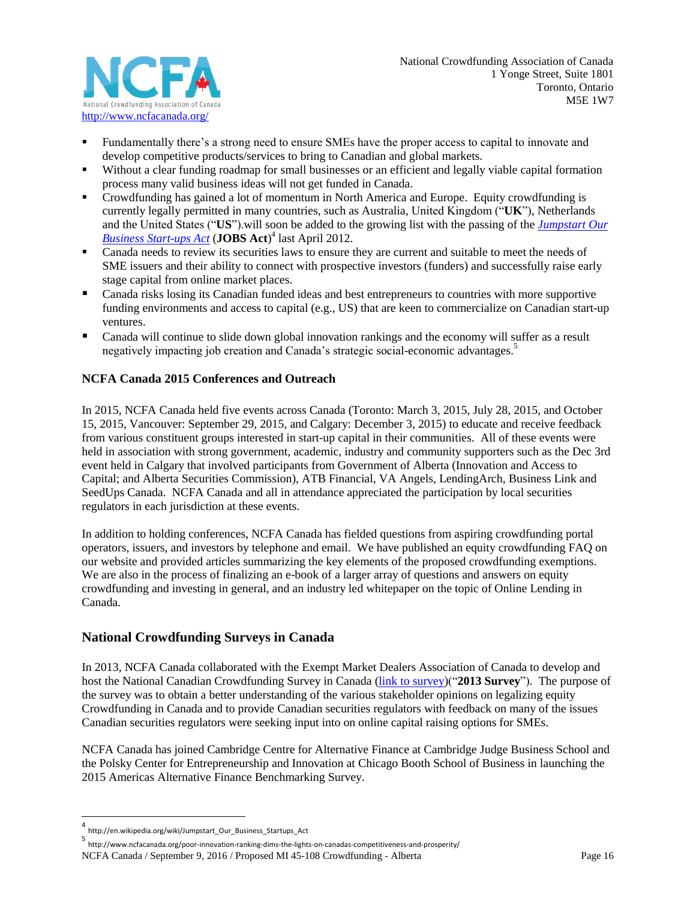

- Fundamentally there's a strong need to ensure SMEs have the proper access to capital to innovate and develop competitive products/services to bring to Canadian and global markets.
- Without a clear funding roadmap for small businesses or an efficient and legally viable capital formation process many valid business ideas will not get funded in Canada.
- Crowdfunding has gained a lot of momentum in North America and Europe. Equity crowdfunding is currently legally permitted in many countries, such as Australia, United Kingdom ("**UK**"), Netherlands and the United States ("**US**").will soon be added to the growing list with the passing of the *[Jumpstart Our](https://www.govtrack.us/congress/bills/112/hr3606/text)  [Business Start-ups Act](https://www.govtrack.us/congress/bills/112/hr3606/text)* (**JOBS Act**) 4 last April 2012.
- Canada needs to review its securities laws to ensure they are current and suitable to meet the needs of SME issuers and their ability to connect with prospective investors (funders) and successfully raise early stage capital from online market places.
- **EXEC** Canada risks losing its Canadian funded ideas and best entrepreneurs to countries with more supportive funding environments and access to capital (e.g., US) that are keen to commercialize on Canadian start-up ventures.
- Canada will continue to slide down global innovation rankings and the economy will suffer as a result negatively impacting job creation and Canada's strategic social-economic advantages.<sup>5</sup>

# <span id="page-15-0"></span>**NCFA Canada 2015 Conferences and Outreach**

In 2015, NCFA Canada held five events across Canada (Toronto: March 3, 2015, July 28, 2015, and October 15, 2015, Vancouver: September 29, 2015, and Calgary: December 3, 2015) to educate and receive feedback from various constituent groups interested in start-up capital in their communities. All of these events were held in association with strong government, academic, industry and community supporters such as the Dec 3rd event held in Calgary that involved participants from Government of Alberta (Innovation and Access to Capital; and Alberta Securities Commission), ATB Financial, VA Angels, LendingArch, Business Link and SeedUps Canada. NCFA Canada and all in attendance appreciated the participation by local securities regulators in each jurisdiction at these events.

In addition to holding conferences, NCFA Canada has fielded questions from aspiring crowdfunding portal operators, issuers, and investors by telephone and email. We have published an equity crowdfunding FAQ on our website and provided articles summarizing the key elements of the proposed crowdfunding exemptions. We are also in the process of finalizing an e-book of a larger array of questions and answers on equity crowdfunding and investing in general, and an industry led whitepaper on the topic of Online Lending in Canada.

# <span id="page-15-1"></span>**National Crowdfunding Surveys in Canada**

In 2013, NCFA Canada collaborated with the Exempt Market Dealers Association of Canada to develop and host the National Canadian Crowdfunding Survey in Canada [\(link to survey\)](http://www.surveymonkey.com/s/G8BN89X)("**2013 Survey**"). The purpose of the survey was to obtain a better understanding of the various stakeholder opinions on legalizing equity Crowdfunding in Canada and to provide Canadian securities regulators with feedback on many of the issues Canadian securities regulators were seeking input into on online capital raising options for SMEs.

NCFA Canada has joined Cambridge Centre for Alternative Finance at Cambridge Judge Business School and the Polsky Center for Entrepreneurship and Innovation at Chicago Booth School of Business in launching the 2015 Americas Alternative Finance Benchmarking Survey.

 $\overline{a}$ 

5 http://www.ncfacanada.org/poor-innovation-ranking-dims-the-lights-on-canadas-competitiveness-and-prosperity/

<sup>4</sup> http://en.wikipedia.org/wiki/Jumpstart\_Our\_Business\_Startups\_Act

NCFA Canada / September 9, 2016 / Proposed MI 45-108 Crowdfunding - Alberta Page 16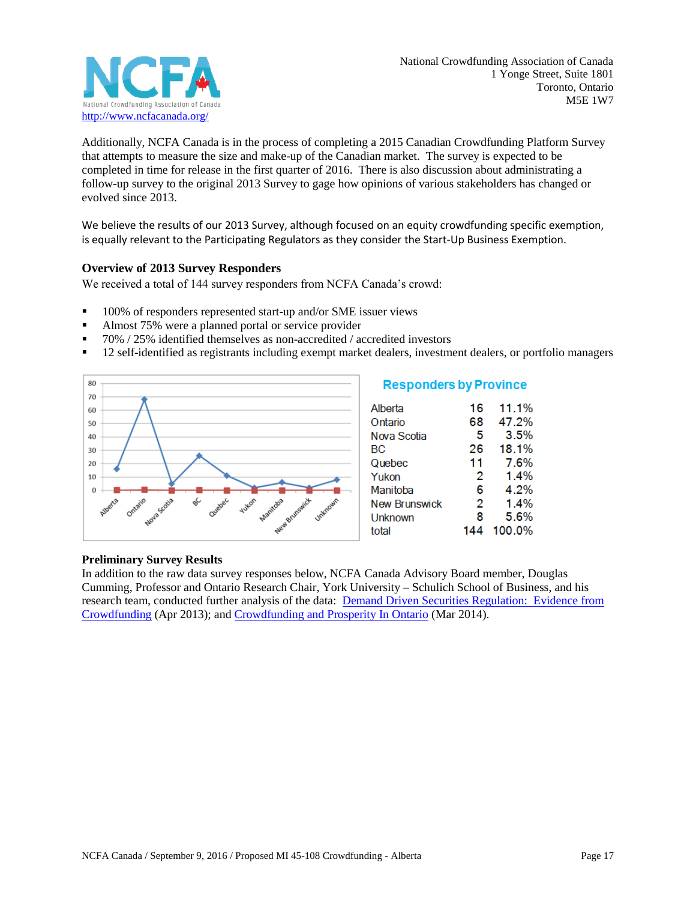

Additionally, NCFA Canada is in the process of completing a 2015 Canadian Crowdfunding Platform Survey that attempts to measure the size and make-up of the Canadian market. The survey is expected to be completed in time for release in the first quarter of 2016. There is also discussion about administrating a follow-up survey to the original 2013 Survey to gage how opinions of various stakeholders has changed or evolved since 2013.

We believe the results of our 2013 Survey, although focused on an equity crowdfunding specific exemption, is equally relevant to the Participating Regulators as they consider the Start-Up Business Exemption.

# <span id="page-16-0"></span>**Overview of 2013 Survey Responders**

We received a total of 144 survey responders from NCFA Canada's crowd:

- <sup>100%</sup> of responders represented start-up and/or SME issuer views
- Almost 75% were a planned portal or service provider
- 70% / 25% identified themselves as non-accredited / accredited investors
- 12 self-identified as registrants including exempt market dealers, investment dealers, or portfolio managers



# **Responders by Province**

| Alberta              | 16  | 11.1%  |
|----------------------|-----|--------|
| <b>Dntario</b>       | 68  | 47.2%  |
| Vova Scotia          | 5   | 3.5%   |
| зс                   | 26  | 18.1%  |
| Quebec               | 11  | 7.6%   |
| rukon                | 2   | 1.4%   |
| Manitoba             | 6   | 4.2%   |
| <b>New Brunswick</b> | 2   | 1.4%   |
| Jnknown              | 8   | 5.6%   |
| otal                 | 144 | 100.0% |

#### **Preliminary Survey Results**

In addition to the raw data survey responses below, NCFA Canada Advisory Board member, Douglas Cumming, Professor and Ontario Research Chair, York University – Schulich School of Business, and his research team, conducted further analysis of the data: Demand Driven Securities Regulation: Evidence from [Crowdfunding](http://ncfacanada.org/demand-driven-securities-regulation-evidence-from-crowdfunding/) (Apr 2013); and [Crowdfunding and Prosperity In Ontario](http://ncfacanada.org/wp-content/uploads/2014/03/Crowdfunding-Prosperity-in-Ontario-Presentation-Doug-Cumming-March-17-2014.pdf) (Mar 2014).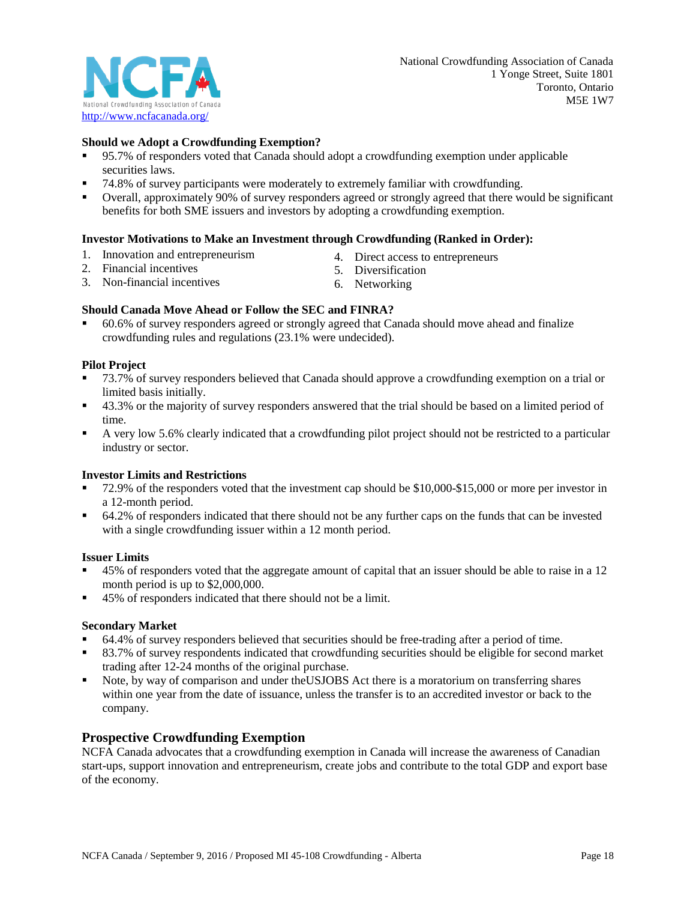

# **Should we Adopt a Crowdfunding Exemption?**

- 95.7% of responders voted that Canada should adopt a crowdfunding exemption under applicable securities laws.
- 74.8% of survey participants were moderately to extremely familiar with crowdfunding.
- Overall, approximately 90% of survey responders agreed or strongly agreed that there would be significant benefits for both SME issuers and investors by adopting a crowdfunding exemption.

#### **Investor Motivations to Make an Investment through Crowdfunding (Ranked in Order):**

- 1. Innovation and entrepreneurism
- 4. Direct access to entrepreneurs

2. Financial incentives

5. Diversification

3. Non-financial incentives

6. Networking

# **Should Canada Move Ahead or Follow the SEC and FINRA?**

 60.6% of survey responders agreed or strongly agreed that Canada should move ahead and finalize crowdfunding rules and regulations (23.1% were undecided).

#### **Pilot Project**

- 73.7% of survey responders believed that Canada should approve a crowdfunding exemption on a trial or limited basis initially.
- <sup>43.3%</sup> or the majority of survey responders answered that the trial should be based on a limited period of time.
- A very low 5.6% clearly indicated that a crowdfunding pilot project should not be restricted to a particular industry or sector.

#### **Investor Limits and Restrictions**

- 72.9% of the responders voted that the investment cap should be \$10,000-\$15,000 or more per investor in a 12-month period.
- 64.2% of responders indicated that there should not be any further caps on the funds that can be invested with a single crowdfunding issuer within a 12 month period.

#### **Issuer Limits**

- 45% of responders voted that the aggregate amount of capital that an issuer should be able to raise in a 12 month period is up to \$2,000,000.
- 45% of responders indicated that there should not be a limit.

#### **Secondary Market**

- 64.4% of survey responders believed that securities should be free-trading after a period of time.
- 83.7% of survey respondents indicated that crowdfunding securities should be eligible for second market trading after 12-24 months of the original purchase.
- Note, by way of comparison and under theUSJOBS Act there is a moratorium on transferring shares within one year from the date of issuance, unless the transfer is to an accredited investor or back to the company.

# <span id="page-17-0"></span>**Prospective Crowdfunding Exemption**

NCFA Canada advocates that a crowdfunding exemption in Canada will increase the awareness of Canadian start-ups, support innovation and entrepreneurism, create jobs and contribute to the total GDP and export base of the economy.